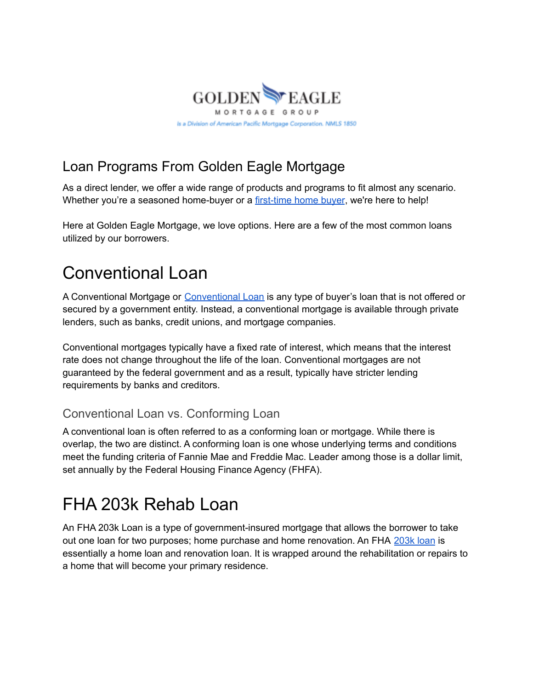

### Loan Programs From Golden Eagle Mortgage

As a direct lender, we offer a wide range of products and programs to fit almost any scenario. Whether you're a seasoned home-buyer or a [first-time](https://goldeneaglemortgagegroup.com/real-estate-news/california-first-time-home-buyer-programs/) home buyer, we're here to help!

Here at Golden Eagle Mortgage, we love options. Here are a few of the most common loans utilized by our borrowers.

### Conventional Loan

A [Conventional](https://goldeneaglemortgagegroup.com/loan-programs/) Mortgage or Conventional Loan is any type of buyer's loan that is not offered or secured by a government entity. Instead, a conventional mortgage is available through private lenders, such as banks, credit unions, and mortgage companies.

Conventional mortgages typically have a fixed rate of interest, which means that the interest rate does not change throughout the life of the loan. Conventional mortgages are not guaranteed by the federal government and as a result, typically have stricter lending requirements by banks and creditors.

#### Conventional Loan vs. Conforming Loan

A conventional loan is often referred to as a conforming loan or mortgage. While there is overlap, the two are distinct. A conforming loan is one whose underlying terms and conditions meet the funding criteria of Fannie Mae and Freddie Mac. Leader among those is a dollar limit, set annually by the Federal Housing Finance Agency (FHFA).

## FHA 203k Rehab Loan

An FHA 203k Loan is a type of government-insured mortgage that allows the borrower to take out one loan for two purposes; home purchase and home renovation. An FHA [203k](https://goldeneaglemortgagegroup.com/loan-programs/) loan is essentially a home loan and renovation loan. It is wrapped around the rehabilitation or repairs to a home that will become your primary residence.